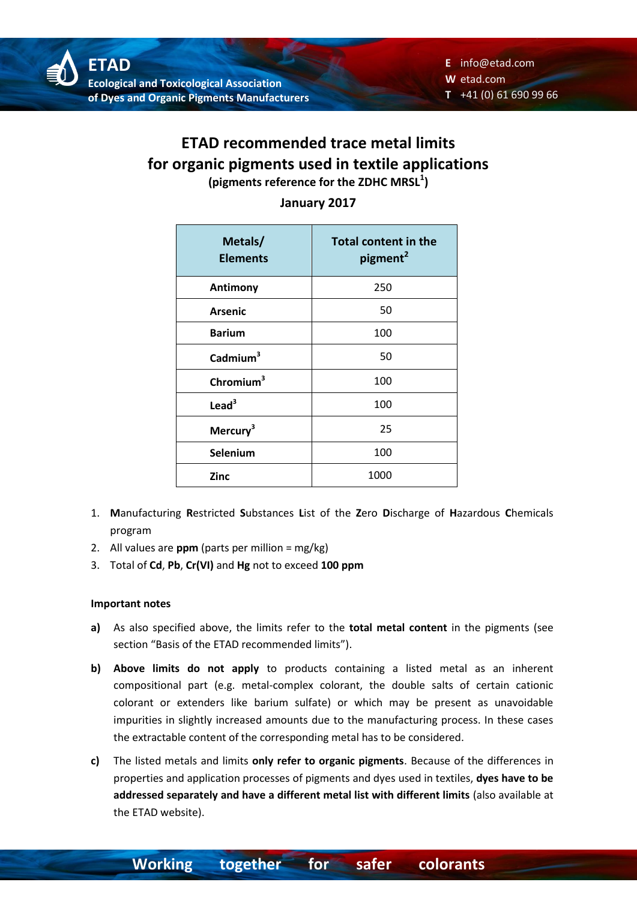## **ETAD recommended trace metal limits for organic pigments used in textile applications (pigments reference for the ZDHC MRSL<sup>1</sup> )**

| Metals/<br><b>Elements</b> | <b>Total content in the</b><br>pigment <sup>2</sup> |
|----------------------------|-----------------------------------------------------|
| <b>Antimony</b>            | 250                                                 |
| <b>Arsenic</b>             | 50                                                  |
| <b>Barium</b>              | 100                                                 |
| Cadmium $3$                | 50                                                  |
| Chromium $3$               | 100                                                 |
| $\text{lead}^3$            | 100                                                 |
| Mercury <sup>3</sup>       | 25                                                  |
| Selenium                   | 100                                                 |
| <b>Zinc</b>                | 1000                                                |

### **January 2017**

- 1. **M**anufacturing **R**estricted **S**ubstances **L**ist of the **Z**ero **D**ischarge of **H**azardous **C**hemicals program
- 2. All values are **ppm** (parts per million = mg/kg)
- 3. Total of **Cd**, **Pb**, **Cr(VI)** and **Hg** not to exceed **100 ppm**

#### **Important notes**

- **a)** As also specified above, the limits refer to the **total metal content** in the pigments (see section "Basis of the ETAD recommended limits").
- **b) Above limits do not apply** to products containing a listed metal as an inherent compositional part (e.g. metal-complex colorant, the double salts of certain cationic colorant or extenders like barium sulfate) or which may be present as unavoidable impurities in slightly increased amounts due to the manufacturing process. In these cases the extractable content of the corresponding metal has to be considered.
- **c)** The listed metals and limits **only refer to organic pigments**. Because of the differences in properties and application processes of pigments and dyes used in textiles, **dyes have to be addressed separately and have a different metal list with different limits** (also available at the ETAD website).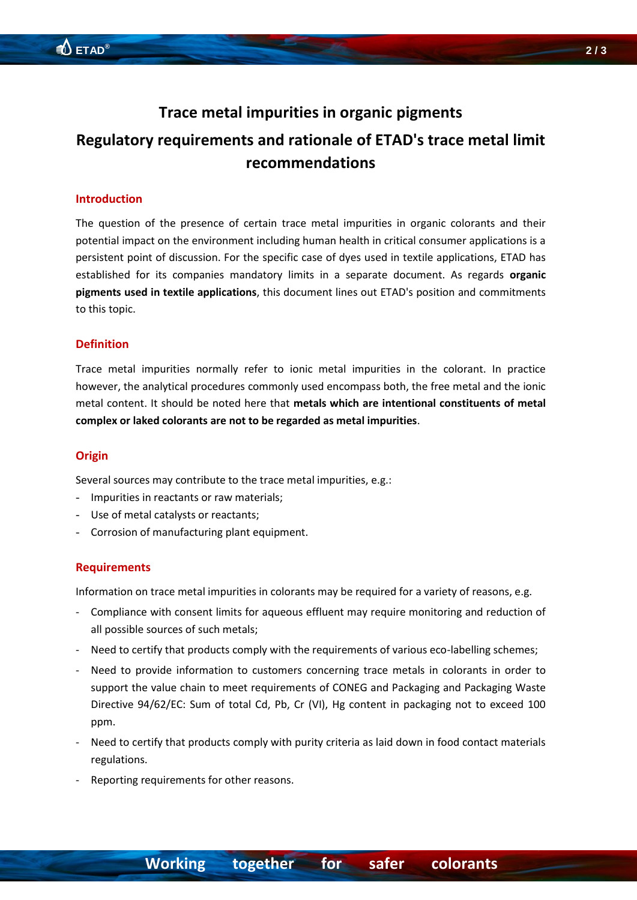## **Trace metal impurities in organic pigments**

# **Regulatory requirements and rationale of ETAD's trace metal limit recommendations**

#### **Introduction**

The question of the presence of certain trace metal impurities in organic colorants and their potential impact on the environment including human health in critical consumer applications is a persistent point of discussion. For the specific case of dyes used in textile applications, ETAD has established for its companies mandatory limits in a separate document. As regards **organic pigments used in textile applications**, this document lines out ETAD's position and commitments to this topic.

#### **Definition**

Trace metal impurities normally refer to ionic metal impurities in the colorant. In practice however, the analytical procedures commonly used encompass both, the free metal and the ionic metal content. It should be noted here that **metals which are intentional constituents of metal complex or laked colorants are not to be regarded as metal impurities**.

#### **Origin**

Several sources may contribute to the trace metal impurities, e.g.:

- Impurities in reactants or raw materials;
- Use of metal catalysts or reactants;
- Corrosion of manufacturing plant equipment.

#### **Requirements**

Information on trace metal impurities in colorants may be required for a variety of reasons, e.g.

- Compliance with consent limits for aqueous effluent may require monitoring and reduction of all possible sources of such metals;
- Need to certify that products comply with the requirements of various eco-labelling schemes;
- Need to provide information to customers concerning trace metals in colorants in order to support the value chain to meet requirements of CONEG and Packaging and Packaging Waste Directive 94/62/EC: Sum of total Cd, Pb, Cr (VI), Hg content in packaging not to exceed 100 ppm.
- Need to certify that products comply with purity criteria as laid down in food contact materials regulations.
- Reporting requirements for other reasons.